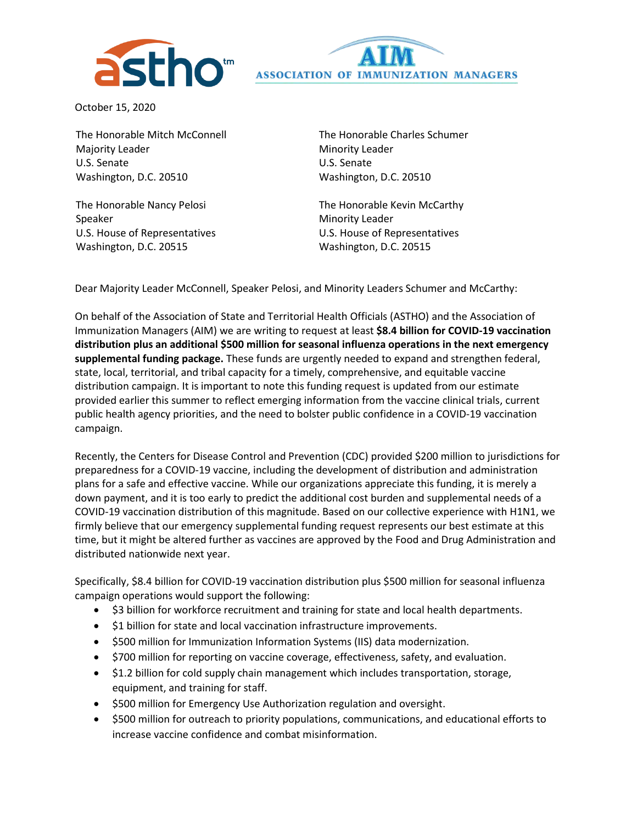



October 15, 2020

The Honorable Mitch McConnell Majority Leader U.S. Senate Washington, D.C. 20510

The Honorable Nancy Pelosi Speaker U.S. House of Representatives Washington, D.C. 20515

The Honorable Charles Schumer Minority Leader U.S. Senate Washington, D.C. 20510

The Honorable Kevin McCarthy Minority Leader U.S. House of Representatives Washington, D.C. 20515

Dear Majority Leader McConnell, Speaker Pelosi, and Minority Leaders Schumer and McCarthy:

On behalf of the Association of State and Territorial Health Officials (ASTHO) and the Association of Immunization Managers (AIM) we are writing to request at least **\$8.4 billion for COVID-19 vaccination distribution plus an additional \$500 million for seasonal influenza operations in the next emergency supplemental funding package.** These funds are urgently needed to expand and strengthen federal, state, local, territorial, and tribal capacity for a timely, comprehensive, and equitable vaccine distribution campaign. It is important to note this funding request is updated from our estimate provided earlier this summer to reflect emerging information from the vaccine clinical trials, current public health agency priorities, and the need to bolster public confidence in a COVID-19 vaccination campaign.

Recently, the Centers for Disease Control and Prevention (CDC) provided \$200 million to jurisdictions for preparedness for a COVID-19 vaccine, including the development of distribution and administration plans for a safe and effective vaccine. While our organizations appreciate this funding, it is merely a down payment, and it is too early to predict the additional cost burden and supplemental needs of a COVID-19 vaccination distribution of this magnitude. Based on our collective experience with H1N1, we firmly believe that our emergency supplemental funding request represents our best estimate at this time, but it might be altered further as vaccines are approved by the Food and Drug Administration and distributed nationwide next year.

Specifically, \$8.4 billion for COVID-19 vaccination distribution plus \$500 million for seasonal influenza campaign operations would support the following:

- \$3 billion for workforce recruitment and training for state and local health departments.
- \$1 billion for state and local vaccination infrastructure improvements.
- \$500 million for Immunization Information Systems (IIS) data modernization.
- \$700 million for reporting on vaccine coverage, effectiveness, safety, and evaluation.
- \$1.2 billion for cold supply chain management which includes transportation, storage, equipment, and training for staff.
- \$500 million for Emergency Use Authorization regulation and oversight.
- \$500 million for outreach to priority populations, communications, and educational efforts to increase vaccine confidence and combat misinformation.